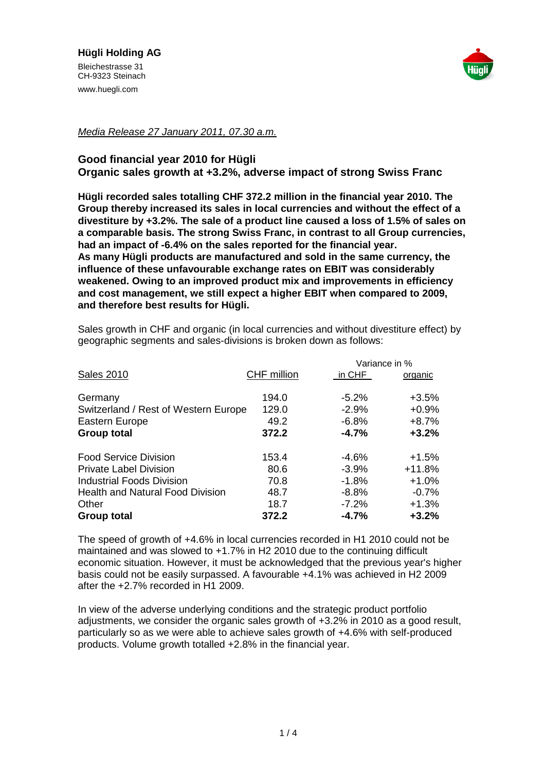

## *Media Release 27 January 2011, 07.30 a.m.*

## **Good financial year 2010 for Hügli Organic sales growth at +3.2%, adverse impact of strong Swiss Franc**

**Hügli recorded sales totalling CHF 372.2 million in the financial year 2010. The Group thereby increased its sales in local currencies and without the effect of a divestiture by +3.2%. The sale of a product line caused a loss of 1.5% of sales on a comparable basis. The strong Swiss Franc, in contrast to all Group currencies, had an impact of -6.4% on the sales reported for the financial year. As many Hügli products are manufactured and sold in the same currency, the influence of these unfavourable exchange rates on EBIT was considerably weakened. Owing to an improved product mix and improvements in efficiency and cost management, we still expect a higher EBIT when compared to 2009, and therefore best results for Hügli.**

Sales growth in CHF and organic (in local currencies and without divestiture effect) by geographic segments and sales-divisions is broken down as follows:

|                                                                                         |                                 | Variance in %                            |                                          |
|-----------------------------------------------------------------------------------------|---------------------------------|------------------------------------------|------------------------------------------|
| <b>Sales 2010</b>                                                                       | CHF million                     | in CHF                                   | organic                                  |
| Germany<br>Switzerland / Rest of Western Europe<br>Eastern Europe<br><b>Group total</b> | 194.0<br>129.0<br>49.2<br>372.2 | $-5.2%$<br>$-2.9%$<br>$-6.8%$<br>$-4.7%$ | $+3.5%$<br>$+0.9%$<br>$+8.7%$<br>$+3.2%$ |
|                                                                                         |                                 |                                          |                                          |
| <b>Food Service Division</b>                                                            | 153.4                           | $-4.6%$                                  | $+1.5%$                                  |
| <b>Private Label Division</b>                                                           | 80.6                            | $-3.9%$                                  | $+11.8%$                                 |
| Industrial Foods Division                                                               | 70.8                            | $-1.8%$                                  | $+1.0%$                                  |
| <b>Health and Natural Food Division</b>                                                 | 48.7                            | $-8.8%$                                  | $-0.7%$                                  |
| Other                                                                                   | 18.7                            | $-7.2%$                                  | $+1.3%$                                  |
| <b>Group total</b>                                                                      | 372.2                           | $-4.7%$                                  | $+3.2%$                                  |

The speed of growth of +4.6% in local currencies recorded in H1 2010 could not be maintained and was slowed to +1.7% in H2 2010 due to the continuing difficult economic situation. However, it must be acknowledged that the previous year's higher basis could not be easily surpassed. A favourable +4.1% was achieved in H2 2009 after the +2.7% recorded in H1 2009.

In view of the adverse underlying conditions and the strategic product portfolio adjustments, we consider the organic sales growth of +3.2% in 2010 as a good result, particularly so as we were able to achieve sales growth of +4.6% with self-produced products. Volume growth totalled +2.8% in the financial year.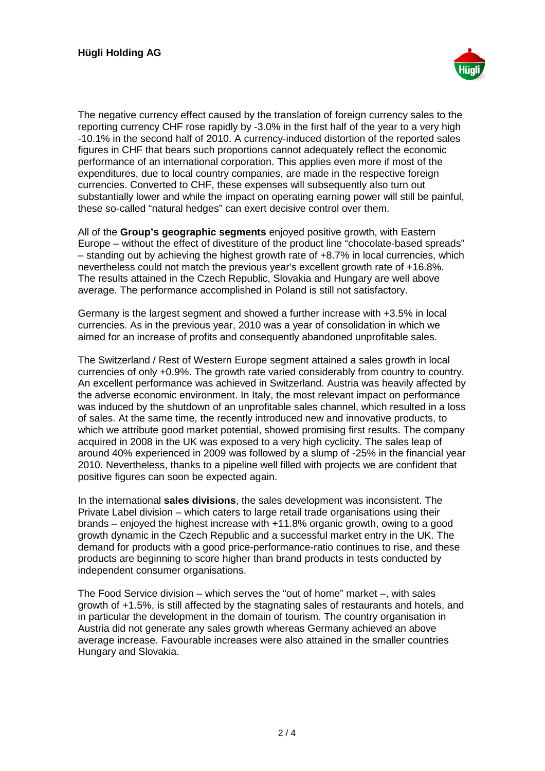

The negative currency effect caused by the translation of foreign currency sales to the reporting currency CHF rose rapidly by -3.0% in the first half of the year to a very high -10.1% in the second half of 2010. A currency-induced distortion of the reported sales figures in CHF that bears such proportions cannot adequately reflect the economic performance of an international corporation. This applies even more if most of the expenditures, due to local country companies, are made in the respective foreign currencies. Converted to CHF, these expenses will subsequently also turn out substantially lower and while the impact on operating earning power will still be painful, these so-called "natural hedges" can exert decisive control over them.

All of the **Group's geographic segments** enjoyed positive growth, with Eastern Europe – without the effect of divestiture of the product line "chocolate-based spreads" – standing out by achieving the highest growth rate of +8.7% in local currencies, which nevertheless could not match the previous year's excellent growth rate of +16.8%. The results attained in the Czech Republic, Slovakia and Hungary are well above average. The performance accomplished in Poland is still not satisfactory.

Germany is the largest segment and showed a further increase with +3.5% in local currencies. As in the previous year, 2010 was a year of consolidation in which we aimed for an increase of profits and consequently abandoned unprofitable sales.

The Switzerland / Rest of Western Europe segment attained a sales growth in local currencies of only +0.9%. The growth rate varied considerably from country to country. An excellent performance was achieved in Switzerland. Austria was heavily affected by the adverse economic environment. In Italy, the most relevant impact on performance was induced by the shutdown of an unprofitable sales channel, which resulted in a loss of sales. At the same time, the recently introduced new and innovative products, to which we attribute good market potential, showed promising first results. The company acquired in 2008 in the UK was exposed to a very high cyclicity. The sales leap of around 40% experienced in 2009 was followed by a slump of -25% in the financial year 2010. Nevertheless, thanks to a pipeline well filled with projects we are confident that positive figures can soon be expected again.

In the international **sales divisions**, the sales development was inconsistent. The Private Label division – which caters to large retail trade organisations using their brands – enjoyed the highest increase with +11.8% organic growth, owing to a good growth dynamic in the Czech Republic and a successful market entry in the UK. The demand for products with a good price-performance-ratio continues to rise, and these products are beginning to score higher than brand products in tests conducted by independent consumer organisations.

The Food Service division – which serves the "out of home" market –, with sales growth of +1.5%, is still affected by the stagnating sales of restaurants and hotels, and in particular the development in the domain of tourism. The country organisation in Austria did not generate any sales growth whereas Germany achieved an above average increase. Favourable increases were also attained in the smaller countries Hungary and Slovakia.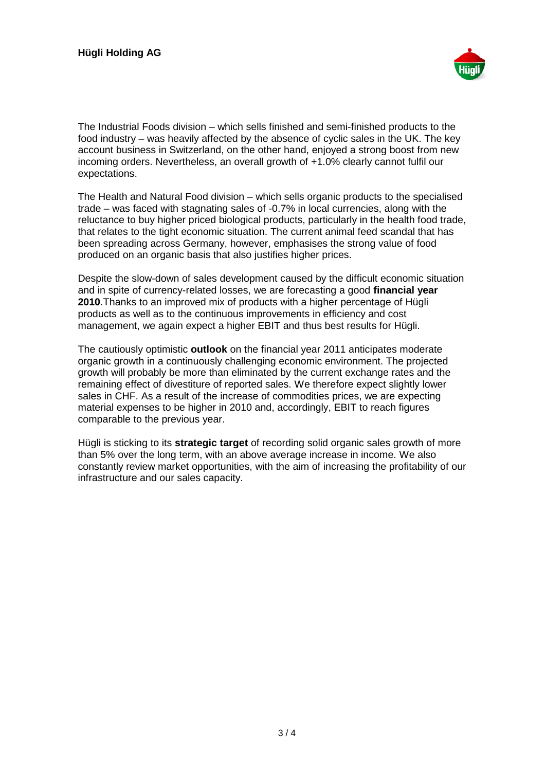

The Industrial Foods division – which sells finished and semi-finished products to the food industry – was heavily affected by the absence of cyclic sales in the UK. The key account business in Switzerland, on the other hand, enjoyed a strong boost from new incoming orders. Nevertheless, an overall growth of +1.0% clearly cannot fulfil our expectations.

The Health and Natural Food division – which sells organic products to the specialised trade – was faced with stagnating sales of -0.7% in local currencies, along with the reluctance to buy higher priced biological products, particularly in the health food trade, that relates to the tight economic situation. The current animal feed scandal that has been spreading across Germany, however, emphasises the strong value of food produced on an organic basis that also justifies higher prices.

Despite the slow-down of sales development caused by the difficult economic situation and in spite of currency-related losses, we are forecasting a good **financial year 2010**.Thanks to an improved mix of products with a higher percentage of Hügli products as well as to the continuous improvements in efficiency and cost management, we again expect a higher EBIT and thus best results for Hügli.

The cautiously optimistic **outlook** on the financial year 2011 anticipates moderate organic growth in a continuously challenging economic environment. The projected growth will probably be more than eliminated by the current exchange rates and the remaining effect of divestiture of reported sales. We therefore expect slightly lower sales in CHF. As a result of the increase of commodities prices, we are expecting material expenses to be higher in 2010 and, accordingly, EBIT to reach figures comparable to the previous year.

Hügli is sticking to its **strategic target** of recording solid organic sales growth of more than 5% over the long term, with an above average increase in income. We also constantly review market opportunities, with the aim of increasing the profitability of our infrastructure and our sales capacity.